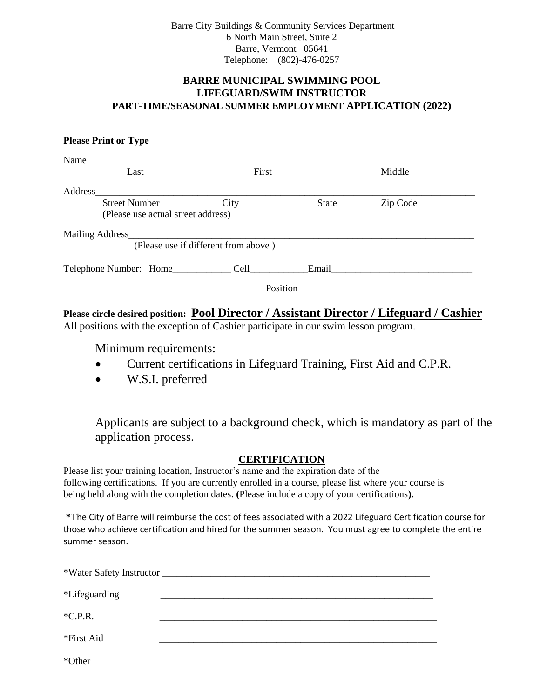Barre City Buildings & Community Services Department 6 North Main Street, Suite 2 Barre, Vermont 05641 Telephone: (802)-476-0257

# **BARRE MUNICIPAL SWIMMING POOL LIFEGUARD/SWIM INSTRUCTOR PART-TIME/SEASONAL SUMMER EMPLOYMENT APPLICATION (2022)**

#### **Please Print or Type**

| Name                                 |          |              |          |  |  |
|--------------------------------------|----------|--------------|----------|--|--|
| Last                                 | First    |              | Middle   |  |  |
| Address                              |          |              |          |  |  |
| <b>Street Number</b>                 | City     | <b>State</b> | Zip Code |  |  |
| (Please use actual street address)   |          |              |          |  |  |
| Mailing Address_                     |          |              |          |  |  |
| (Please use if different from above) |          |              |          |  |  |
| Telephone Number: Home_________      | Cell     | Email        |          |  |  |
|                                      | Position |              |          |  |  |

# **Please circle desired position: Pool Director / Assistant Director / Lifeguard / Cashier**  All positions with the exception of Cashier participate in our swim lesson program.

## Minimum requirements:

- Current certifications in Lifeguard Training, First Aid and C.P.R.
- W.S.I. preferred

Applicants are subject to a background check, which is mandatory as part of the application process.

#### **CERTIFICATION**

Please list your training location, Instructor's name and the expiration date of the following certifications. If you are currently enrolled in a course, please list where your course is being held along with the completion dates. **(**Please include a copy of your certifications**).** 

 **\***The City of Barre will reimburse the cost of fees associated with a 2022 Lifeguard Certification course for those who achieve certification and hired for the summer season. You must agree to complete the entire summer season.

| <i>*Lifeguarding</i> |  |
|----------------------|--|
| $*C.P.R.$            |  |
| *First Aid           |  |
| *Other               |  |